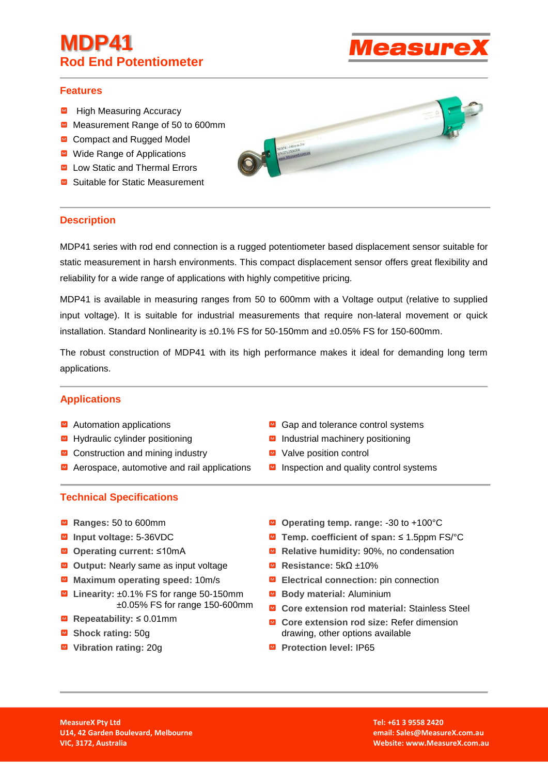# **MDP41 Rod End Potentiometer**



# **Features**

- High Measuring Accuracy
- Measurement Range of 50 to 600mm
- **■** Compact and Rugged Model
- **■** Wide Range of Applications
- Low Static and Thermal Errors
- **■** Suitable for Static Measurement

# **Description**

MDP41 series with rod end connection is a rugged potentiometer based displacement sensor suitable for static measurement in harsh environments. This compact displacement sensor offers great flexibility and reliability for a wide range of applications with highly competitive pricing.

MDP41 is available in measuring ranges from 50 to 600mm with a Voltage output (relative to supplied input voltage). It is suitable for industrial measurements that require non-lateral movement or quick installation. Standard Nonlinearity is ±0.1% FS for 50-150mm and ±0.05% FS for 150-600mm.

The robust construction of MDP41 with its high performance makes it ideal for demanding long term applications.

# **Applications**

- $\blacksquare$  Automation applications
- Hydraulic cylinder positioning
- $\blacksquare$  Construction and mining industry
- Aerospace, automotive and rail applications
- **Technical Specifications**
- **Ranges:** 50 to 600mm
- **Input voltage:** 5-36VDC
- **Operating current:** ≤10mA
- Output: Nearly same as input voltage
- **Maximum operating speed:** 10m/s
- Linearity: ±0.1% FS for range 50-150mm ±0.05% FS for range 150-600mm
- **Repeatability:** ≤ 0.01mm
- **Shock rating:** 50g
- **Vibration rating:** 20g
- $\blacksquare$  Gap and tolerance control systems
- Industrial machinery positioning
- M Valve position control
- $\blacksquare$  Inspection and quality control systems
- **Operating temp. range:** -30 to +100°C
- **Temp. coefficient of span:** ≤ 1.5ppm FS/°C
- **■** Relative humidity: 90%, no condensation
- **Resistance:** 5kΩ ±10%
- **Electrical connection:** pin connection
- **Body material:** Aluminium
- **Core extension rod material: Stainless Steel**
- **Core extension rod size:** Refer dimension drawing, other options available
- **Protection level: IP65**

**MeasureX Pty Ltd U14, 42 Garden Boulevard, Melbourne VIC, 3172, Australia**